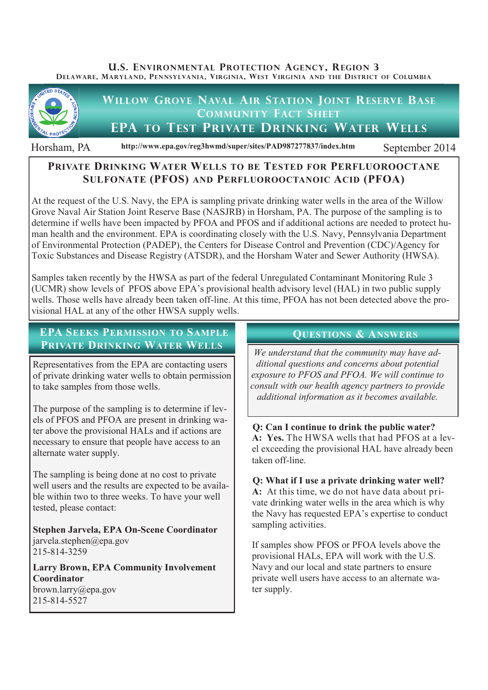**U.S. ENVIRONMENTAL PROTECTION AGENCY, REGION 3 DELAWARE, MARYLAND, PENNSYLVANIA, VIRGINIA, WEST VIRGINIA AND THE DISTRICT OF COLUMBIA**



Horsham, PA http://www.epa.gov/reg3hwmd/super/sites/PAD987277837/index.htm September 2014

# **PRIVATE DRINKING WATER WELLS TO BE TESTED FOR PERFLUOROOCTANE SULFONATE (PFOS) AND PERFLUOROOCTANOIC ACID (PFOA)**

At the request of the U.S. Navy, the EPA is sampling private drinking water wells in the area of the Willow Grove Naval Air Station Joint Reserve Base (NASJRB) in Horsham, PA. The purpose of the sampling is to determine if wells have been impacted by PFOA and PFOS and if additional actions are needed to protect human health and the environment. EPA is coordinating closely with the U.S. Navy, Pennsylvania Department of Environmental Protection (PADEP), the Centers for Disease Control and Prevention (CDC)/Agency for Toxic Substances and Disease Registry (ATSDR), and the Horsham Water and Sewer Authority (HWSA).

Samples taken recently by the HWSA as part of the federal Unregulated Contaminant Monitoring Rule 3 (UCMR) show levels of PFOS above EPA's provisional health advisory level (HAL) in two public supply wells. Those wells have already been taken off-line. At this time, PFOA has not been detected above the provisional HAL at any of the other HWSA supply wells.

## **EPA SEEKS PERMISSION TO SAMPLE PRIVATE DRINKING WATER WELLS**

Representatives from the EPA are contacting users of private drinking water wells to obtain permission to take samples from those wells.

The purpose of the sampling is to determine if levels of PFOS and PFOA are present in drinking water above the provisional HALs and if actions are necessary to ensure that people have access to an alternate water supply.

The sampling is being done at no cost to private well users and the results are expected to be available within two to three weeks. To have your well tested, please contact:

**Stephen Jarvela, EPA On-Scene Coordinator** jarvela.stephen@epa.gov 215-814-3259

**Larry Brown, EPA Community Involvement Coordinator**

brown.larry@epa.gov 215-814-5527

## **QUESTIONS & ANSWERS**

*We understand that the community may have additional questions and concerns about potential exposure to PFOS and PFOA. We will continue to consult with our health agency partners to provide additional information as it becomes available.*

**Q: Can I continue to drink the public water? A: Yes.** The HWSA wells that had PFOS at a level exceeding the provisional HAL have already been taken off-line.

# **Q: What if I use a private drinking water well?**

**A:** At this time, we do not have data about private drinking water wells in the area which is why the Navy has requested EPA's expertise to conduct sampling activities.

If samples show PFOS or PFOA levels above the provisional HALs, EPA will work with the U.S. Navy and our local and state partners to ensure private well users have access to an alternate water supply.